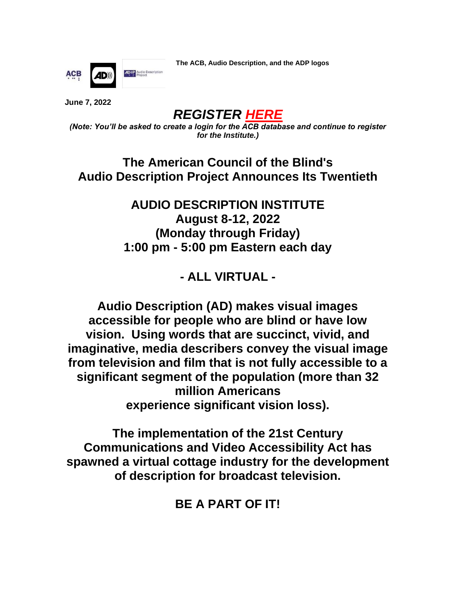**AD**<sup>O</sup>P Audio Description **ACB** 

**The ACB, Audio Description, and the ADP logos**

**June 7, 2022**

*REGISTER [HERE](https://interland3.donorperfect.net/weblink/WebLink.aspx?name=E144393&id=81)*

*(Note: You'll be asked to create a login for the ACB database and continue to register for the Institute.)*

**The American Council of the Blind's Audio Description Project Announces Its Twentieth**

> **AUDIO DESCRIPTION INSTITUTE August 8-12, 2022 (Monday through Friday) 1:00 pm - 5:00 pm Eastern each day**

> > **- ALL VIRTUAL -**

**Audio Description (AD) makes visual images accessible for people who are blind or have low vision. Using words that are succinct, vivid, and imaginative, media describers convey the visual image from television and film that is not fully accessible to a significant segment of the population (more than 32 million Americans experience significant vision loss).**

**The implementation of the 21st Century Communications and Video Accessibility Act has spawned a virtual cottage industry for the development of description for broadcast television.**

**BE A PART OF IT!**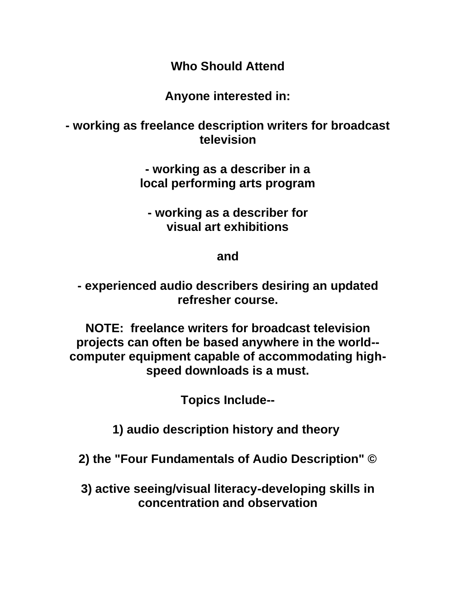**Who Should Attend**

**Anyone interested in:**

**- working as freelance description writers for broadcast television**

> **- working as a describer in a local performing arts program**

**- working as a describer for visual art exhibitions**

**and**

**- experienced audio describers desiring an updated refresher course.**

**NOTE: freelance writers for broadcast television projects can often be based anywhere in the world- computer equipment capable of accommodating highspeed downloads is a must.**

**Topics Include--**

**1) audio description history and theory**

**2) the "Four Fundamentals of Audio Description" ©**

**3) active seeing/visual literacy-developing skills in concentration and observation**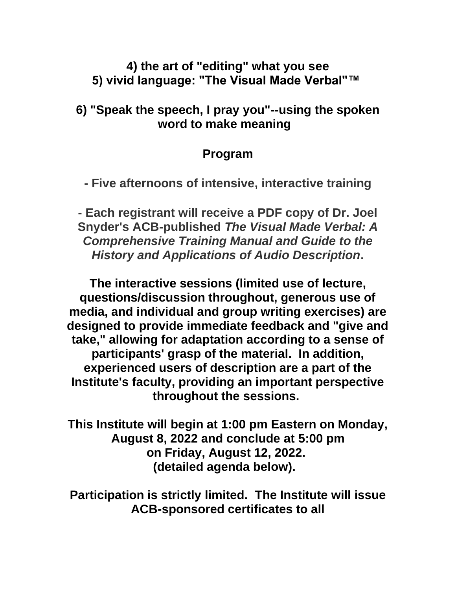### **4) the art of "editing" what you see 5) vivid language: "The Visual Made Verbal"™**

## **6) "Speak the speech, I pray you"--using the spoken word to make meaning**

# **Program**

**- Five afternoons of intensive, interactive training**

**- Each registrant will receive a PDF copy of Dr. Joel Snyder's ACB-published** *The Visual Made Verbal: A Comprehensive Training Manual and Guide to the History and Applications of Audio Description***.**

**The interactive sessions (limited use of lecture, questions/discussion throughout, generous use of media, and individual and group writing exercises) are designed to provide immediate feedback and "give and take," allowing for adaptation according to a sense of participants' grasp of the material. In addition, experienced users of description are a part of the Institute's faculty, providing an important perspective throughout the sessions.**

**This Institute will begin at 1:00 pm Eastern on Monday, August 8, 2022 and conclude at 5:00 pm on Friday, August 12, 2022. (detailed agenda below).** 

**Participation is strictly limited. The Institute will issue ACB-sponsored certificates to all**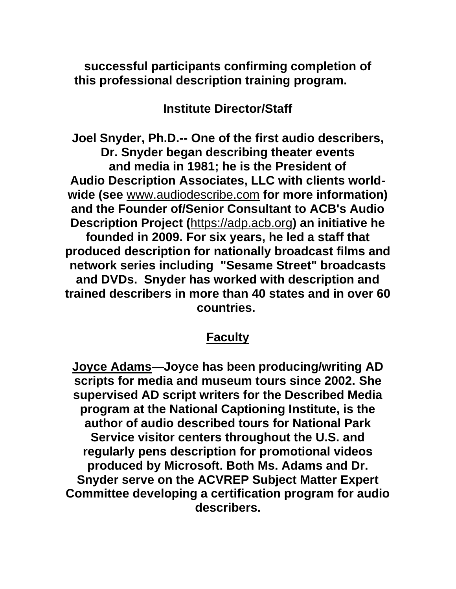**successful participants confirming completion of this professional description training program.** 

**Institute Director/Staff**

**Joel Snyder, Ph.D.-- One of the first audio describers, Dr. Snyder began describing theater events and media in 1981; he is the President of Audio Description Associates, LLC with clients worldwide (see** [www.audiodescribe.com](https://www.audiodescribe.com/) **for more information) and the Founder of/Senior Consultant to ACB's Audio Description Project (**[https://adp.acb.org](http://www.acb.org/adp)**) an initiative he founded in 2009. For six years, he led a staff that produced description for nationally broadcast films and network series including "Sesame Street" broadcasts and DVDs. Snyder has worked with description and trained describers in more than 40 states and in over 60 countries.**

## **[Faculty](https://em-ui.constantcontact.com/em-ui/em/frame/previewtest/89fc3a9c-fc24-4f62-a77f-bf2f965b2549?previewTestJSVersion=0.1.226&previewTestJSHash=bdac8b0d43f4bbfe8cb5)**

**Joyce Adams—Joyce has been producing/writing AD scripts for media and museum tours since 2002. She supervised AD script writers for the Described Media program at the National Captioning Institute, is the author of audio described tours for National Park Service visitor centers throughout the U.S. and regularly pens description for promotional videos produced by Microsoft. Both Ms. Adams and Dr. Snyder serve on the ACVREP Subject Matter Expert Committee developing a certification program for audio describers.**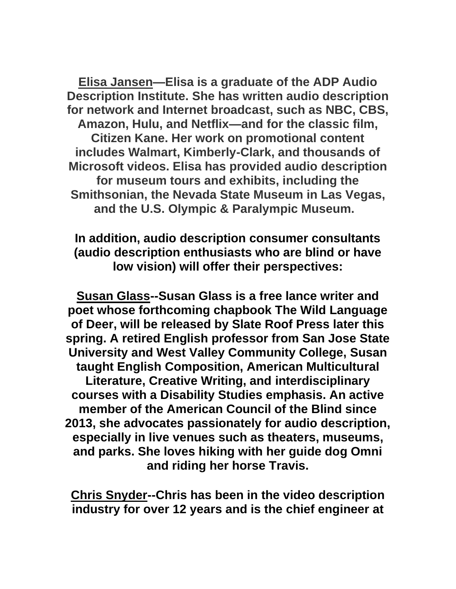**Elisa Jansen—Elisa is a graduate of the ADP Audio Description Institute. She has written audio description for network and Internet broadcast, such as NBC, CBS, Amazon, Hulu, and Netflix—and for the classic film, Citizen Kane. Her work on promotional content includes Walmart, Kimberly-Clark, and thousands of Microsoft videos. Elisa has provided audio description for museum tours and exhibits, including the Smithsonian, the Nevada State Museum in Las Vegas, and the U.S. Olympic & Paralympic Museum.**

## **In addition, audio description consumer consultants (audio description enthusiasts who are blind or have low vision) will offer their perspectives:**

**Susan Glass--Susan Glass is a free lance writer and poet whose forthcoming chapbook The Wild Language of Deer, will be released by Slate Roof Press later this spring. A retired English professor from San Jose State University and West Valley Community College, Susan taught English Composition, American Multicultural Literature, Creative Writing, and interdisciplinary courses with a Disability Studies emphasis. An active member of the American Council of the Blind since 2013, she advocates passionately for audio description, especially in live venues such as theaters, museums, and parks. She loves hiking with her guide dog Omni and riding her horse Travis.**

**Chris Snyder--Chris has been in the video description industry for over 12 years and is the chief engineer at**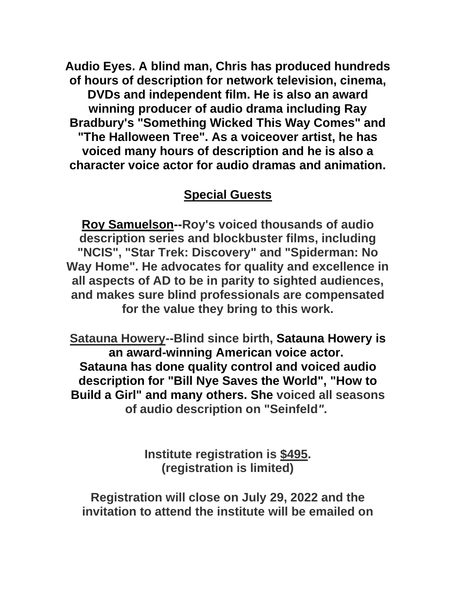**Audio Eyes. A blind man, Chris has produced hundreds of hours of description for network television, cinema, DVDs and independent film. He is also an award winning producer of audio drama including Ray Bradbury's "Something Wicked This Way Comes" and "The Halloween Tree". As a voiceover artist, he has voiced many hours of description and he is also a character voice actor for audio dramas and animation.**

# **Special Guests**

**Roy Samuelson--Roy's voiced thousands of audio description series and blockbuster films, including "NCIS", "Star Trek: Discovery" and "Spiderman: No Way Home". He advocates for quality and excellence in all aspects of AD to be in parity to sighted audiences, and makes sure blind professionals are compensated for the value they bring to this work.**

**Satauna Howery--Blind since birth, Satauna Howery is an award-winning American voice actor. Satauna has done quality control and voiced audio description for "Bill Nye Saves the World", "How to Build a Girl" and many others. She voiced all seasons of audio description on "Seinfeld***"***.**

> **Institute registration is \$495. (registration is limited)**

**Registration will close on July 29, 2022 and the invitation to attend the institute will be emailed on**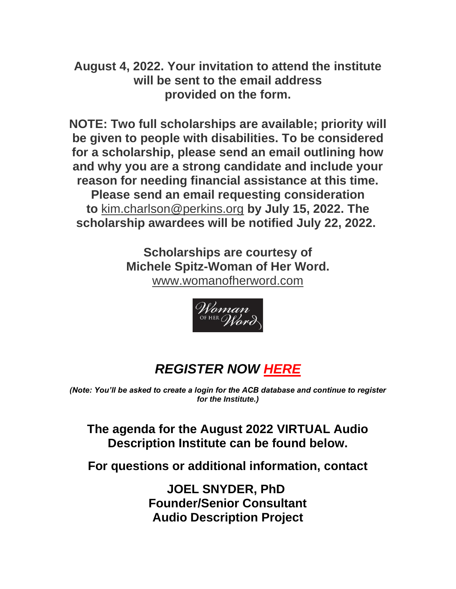**August 4, 2022. Your invitation to attend the institute will be sent to the email address provided on the form.**

**NOTE: Two full scholarships are available; priority will be given to people with disabilities. To be considered for a scholarship, please send an email outlining how and why you are a strong candidate and include your reason for needing financial assistance at this time. Please send an email requesting consideration to** [kim.charlson@perkins.org](mailto:kim.charlson@perkins.org) **by July 15, 2022. The scholarship awardees will be notified July 22, 2022.**

> **Scholarships are courtesy of Michele Spitz-Woman of Her Word.** [www.womanofherword.com](https://www.womanofherword.com/)



# *REGISTER NOW [HERE](https://interland3.donorperfect.net/weblink/WebLink.aspx?name=E144393&id=81)*

*(Note: You'll be asked to create a login for the ACB database and continue to register for the Institute.)*

**The agenda for the August 2022 VIRTUAL Audio Description Institute can be found below.**

**For questions or additional information, contact**

**JOEL SNYDER, PhD Founder/Senior Consultant Audio Description Project**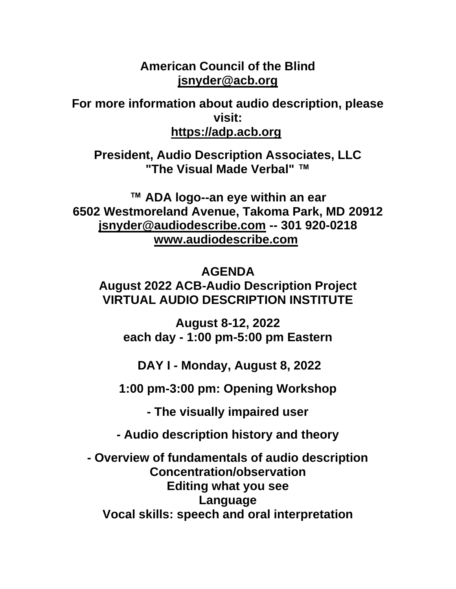#### **American Council of the Blind [jsnyder@acb.org](mailto:jsnyder@acb.org)**

**For more information about audio description, please visit: [https://adp.acb.org](https://mandrillapp.com/track/click/30489975/undefinedwww.acb.org?p=eyJzIjoiQ21kT0hHQVYwNU0wLXNjOEpPQng5cmZpWmRRIiwidiI6MSwicCI6IntcInVcIjozMDQ4OTk3NSxcInZcIjoxLFwidXJsXCI6XCJodHRwOlxcXC9cXFwvdW5kZWZpbmVkd3d3LmFjYi5vcmdcXFwvYWRwXCIsXCJpZFwiOlwiNDI4MDEyNzVjODMzNGUyZTgyN2RmYjc5YzFjYWZhOThcIixcInVybF9pZHNcIjpbXCI2NTlkMjkxYzg2ZmNmNmVlNDNiM2Q2NTk5MTNlYjZkMTE2MDgyODVlXCJdfSJ9)**

**President, Audio Description Associates, LLC "The Visual Made Verbal" ™**

**™ ADA logo--an eye within an ear 6502 Westmoreland Avenue, Takoma Park, MD 20912 [jsnyder@audiodescribe.com](mailto:jsnyder@audiodescribe.com) -- 301 920-0218 [www.audiodescribe.com](https://mandrillapp.com/track/click/30489975/www.audiodescribe.com?p=eyJzIjoiaXc5TlhPajFFM1dsZVFyZHVUOEpvSWhvTWZZIiwidiI6MSwicCI6IntcInVcIjozMDQ4OTk3NSxcInZcIjoxLFwidXJsXCI6XCJodHRwOlxcXC9cXFwvd3d3LmF1ZGlvZGVzY3JpYmUuY29tXFxcL1wiLFwiaWRcIjpcIjQyODAxMjc1YzgzMzRlMmU4MjdkZmI3OWMxY2FmYTk4XCIsXCJ1cmxfaWRzXCI6W1wiYzNlODJjN2NkYTg3MzgzODNmYjFiYzg0ZmU5NWNjOTU1YzEyMGY3NVwiXX0ifQ)** 

#### **AGENDA**

**August 2022 ACB-Audio Description Project VIRTUAL AUDIO DESCRIPTION INSTITUTE**

**August 8-12, 2022 each day - 1:00 pm-5:00 pm Eastern**

**DAY I - Monday, August 8, 2022**

**1:00 pm-3:00 pm: Opening Workshop**

**- The visually impaired user**

**- Audio description history and theory**

**- Overview of fundamentals of audio description Concentration/observation Editing what you see Language Vocal skills: speech and oral interpretation**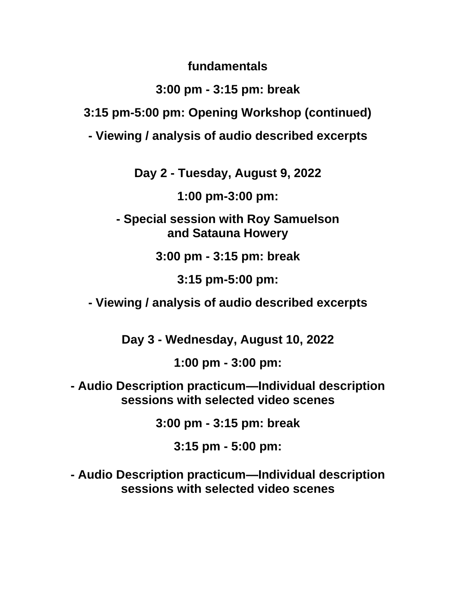**fundamentals**

# **3:00 pm - 3:15 pm: break**

**3:15 pm-5:00 pm: Opening Workshop (continued)**

**- Viewing / analysis of audio described excerpts**

**Day 2 - Tuesday, August 9, 2022**

**1:00 pm-3:00 pm:**

**- Special session with Roy Samuelson and Satauna Howery**

**3:00 pm - 3:15 pm: break**

**3:15 pm-5:00 pm:**

**- Viewing / analysis of audio described excerpts**

**Day 3 - Wednesday, August 10, 2022**

**1:00 pm - 3:00 pm:**

**- Audio Description practicum—Individual description sessions with selected video scenes**

**3:00 pm - 3:15 pm: break**

**3:15 pm - 5:00 pm:**

**- Audio Description practicum—Individual description sessions with selected video scenes**